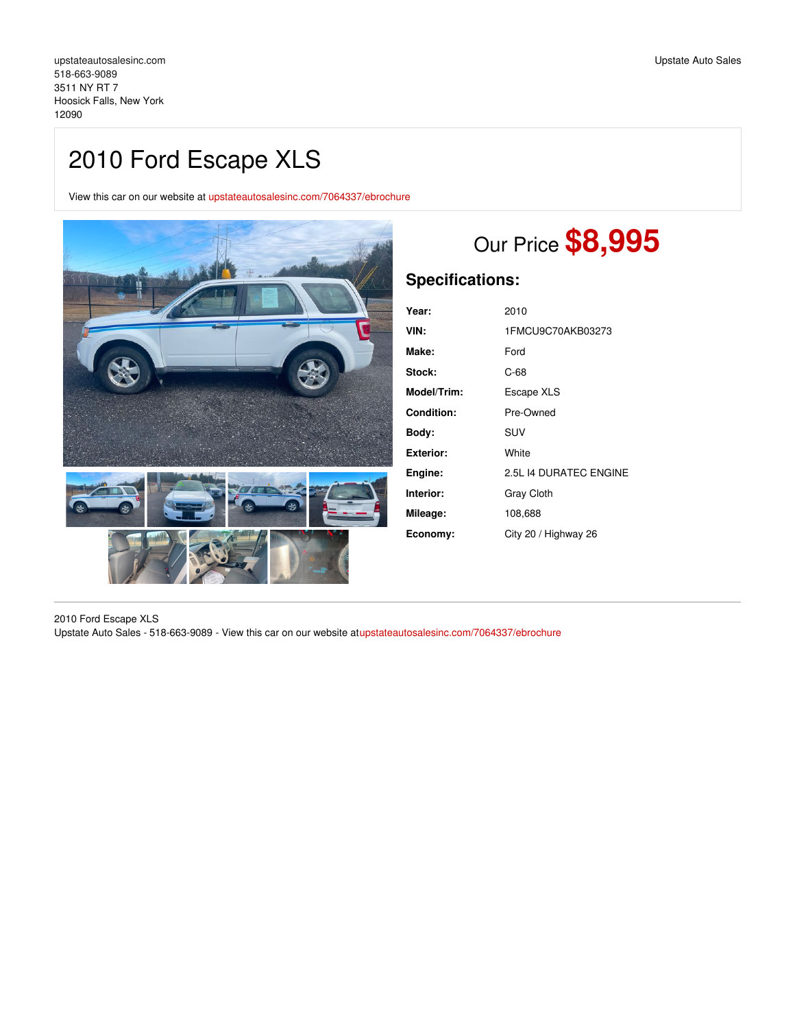# 2010 Ford Escape XLS

View this car on our website at [upstateautosalesinc.com/7064337/ebrochure](https://upstateautosalesinc.com/vehicle/7064337/2010-ford-escape-xls-hoosick-falls-new-york-12090/7064337/ebrochure)



# Our Price **\$8,995**

# **Specifications:**

| Year:       | 2010                   |
|-------------|------------------------|
| VIN:        | 1FMCU9C70AKB03273      |
| Make:       | Ford                   |
| Stock:      | C-68                   |
| Model/Trim: | Escape XLS             |
| Condition:  | Pre-Owned              |
| Body:       | <b>SUV</b>             |
| Exterior:   | White                  |
| Engine:     | 2.5L 14 DURATEC ENGINE |
| Interior:   | Gray Cloth             |
| Mileage:    | 108,688                |
| Economy:    | City 20 / Highway 26   |

2010 Ford Escape XLS Upstate Auto Sales - 518-663-9089 - View this car on our website a[tupstateautosalesinc.com/7064337/ebrochure](https://upstateautosalesinc.com/vehicle/7064337/2010-ford-escape-xls-hoosick-falls-new-york-12090/7064337/ebrochure)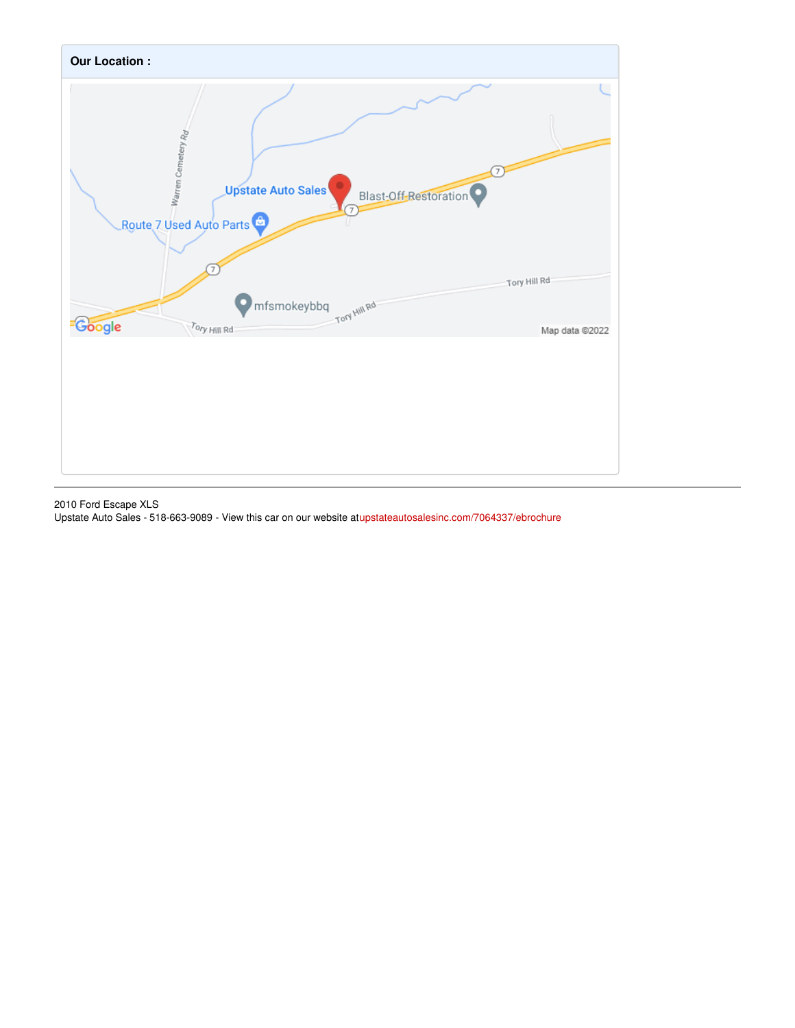

2010 Ford Escape XLS Upstate Auto Sales - 518-663-9089 - View this car on our website a[tupstateautosalesinc.com/7064337/ebrochure](https://upstateautosalesinc.com/vehicle/7064337/2010-ford-escape-xls-hoosick-falls-new-york-12090/7064337/ebrochure)